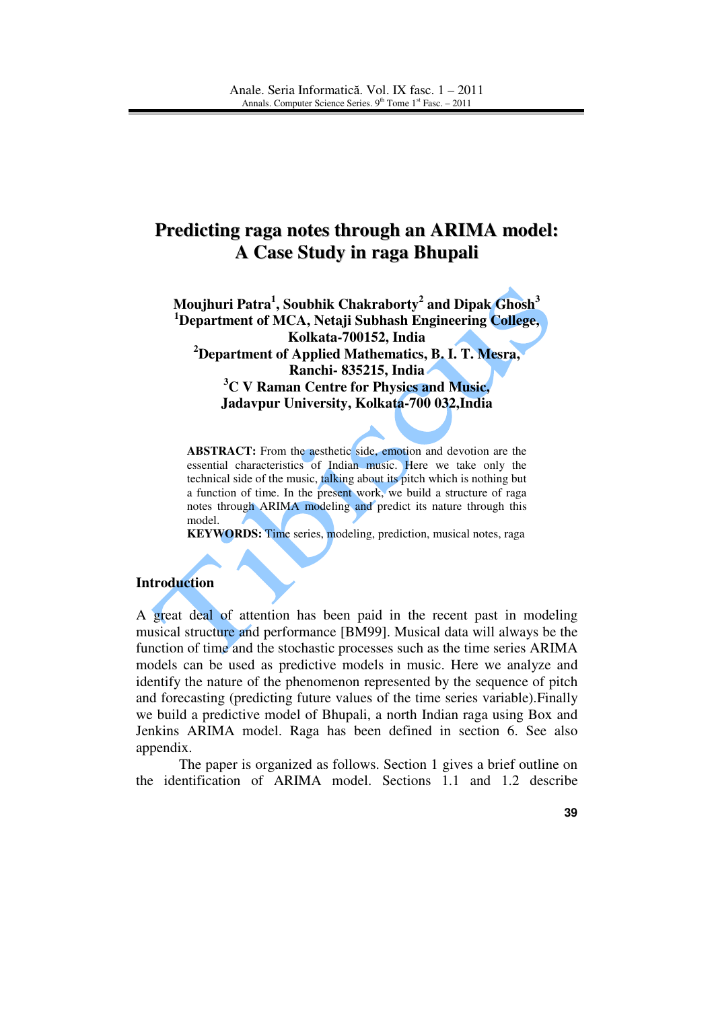# **Predicting raga notes through an ARIMA model: A Case Study in raga Bhupali**

**Moujhuri Patra<sup>1</sup> , Soubhik Chakraborty<sup>2</sup> and Dipak Ghosh<sup>3</sup> <sup>1</sup>Department of MCA, Netaji Subhash Engineering College, Kolkata-700152, India <sup>2</sup>Department of Applied Mathematics, B. I. T. Mesra, Ranchi- 835215, India <sup>3</sup>C V Raman Centre for Physics and Music, Jadavpur University, Kolkata-700 032,India** 

**ABSTRACT:** From the aesthetic side, emotion and devotion are the essential characteristics of Indian music. Here we take only the technical side of the music, talking about its pitch which is nothing but a function of time. In the present work, we build a structure of raga notes through ARIMA modeling and predict its nature through this model.

**KEYWORDS:** Time series, modeling, prediction, musical notes, raga

### **Introduction**

A great deal of attention has been paid in the recent past in modeling musical structure and performance [BM99]. Musical data will always be the function of time and the stochastic processes such as the time series ARIMA models can be used as predictive models in music. Here we analyze and identify the nature of the phenomenon represented by the sequence of pitch and forecasting (predicting future values of the time series variable).Finally we build a predictive model of Bhupali, a north Indian raga using Box and Jenkins ARIMA model. Raga has been defined in section 6. See also appendix.

The paper is organized as follows. Section 1 gives a brief outline on the identification of ARIMA model. Sections 1.1 and 1.2 describe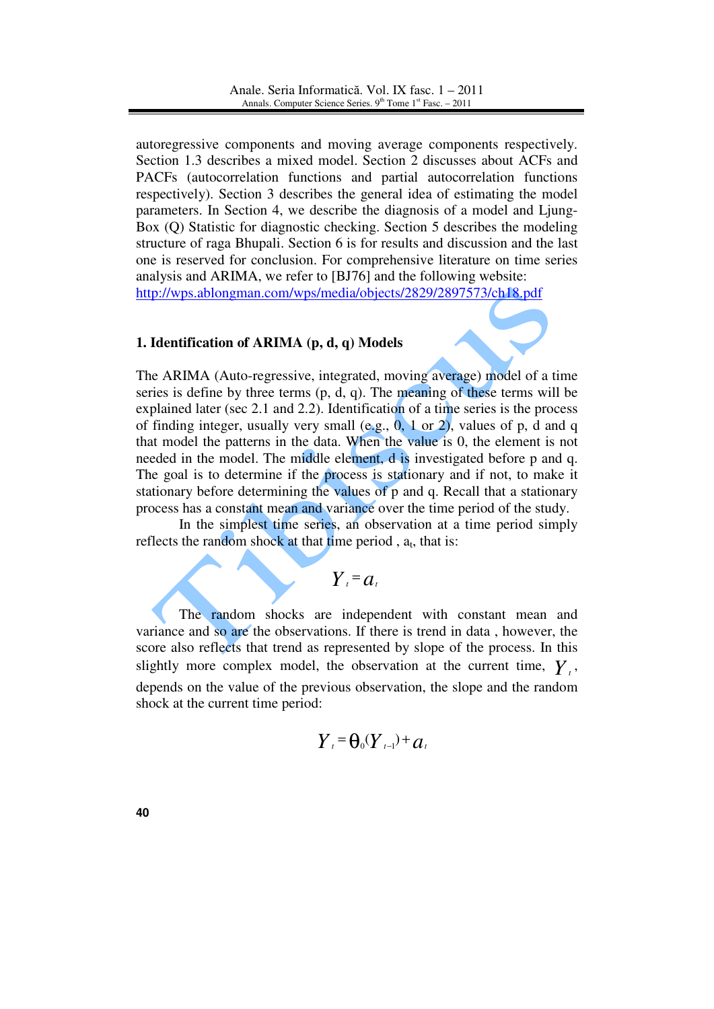autoregressive components and moving average components respectively. Section 1.3 describes a mixed model. Section 2 discusses about ACFs and PACFs (autocorrelation functions and partial autocorrelation functions respectively). Section 3 describes the general idea of estimating the model parameters. In Section 4, we describe the diagnosis of a model and Ljung-Box (Q) Statistic for diagnostic checking. Section 5 describes the modeling structure of raga Bhupali. Section 6 is for results and discussion and the last one is reserved for conclusion. For comprehensive literature on time series analysis and ARIMA, we refer to [BJ76] and the following website: http://wps.ablongman.com/wps/media/objects/2829/2897573/ch18.pdf

## **1. Identification of ARIMA (p, d, q) Models**

The ARIMA (Auto-regressive, integrated, moving average) model of a time series is define by three terms (p, d, q). The meaning of these terms will be explained later (sec 2.1 and 2.2). Identification of a time series is the process of finding integer, usually very small  $(e.g., 0, 1 \text{ or } 2)$ , values of p, d and q that model the patterns in the data. When the value is 0, the element is not needed in the model. The middle element, d is investigated before p and q. The goal is to determine if the process is stationary and if not, to make it stationary before determining the values of p and q. Recall that a stationary process has a constant mean and variance over the time period of the study.

 In the simplest time series, an observation at a time period simply reflects the random shock at that time period,  $a_t$ , that is:

 $Y_t = a_t$ 

The random shocks are independent with constant mean and variance and so are the observations. If there is trend in data , however, the score also reflects that trend as represented by slope of the process. In this slightly more complex model, the observation at the current time,  $Y_t$ , depends on the value of the previous observation, the slope and the random shock at the current time period:

$$
\boldsymbol{Y}_{t} = \boldsymbol{\Theta}_{0}(\boldsymbol{Y}_{t-1}) + \boldsymbol{a}_{t}
$$

**40**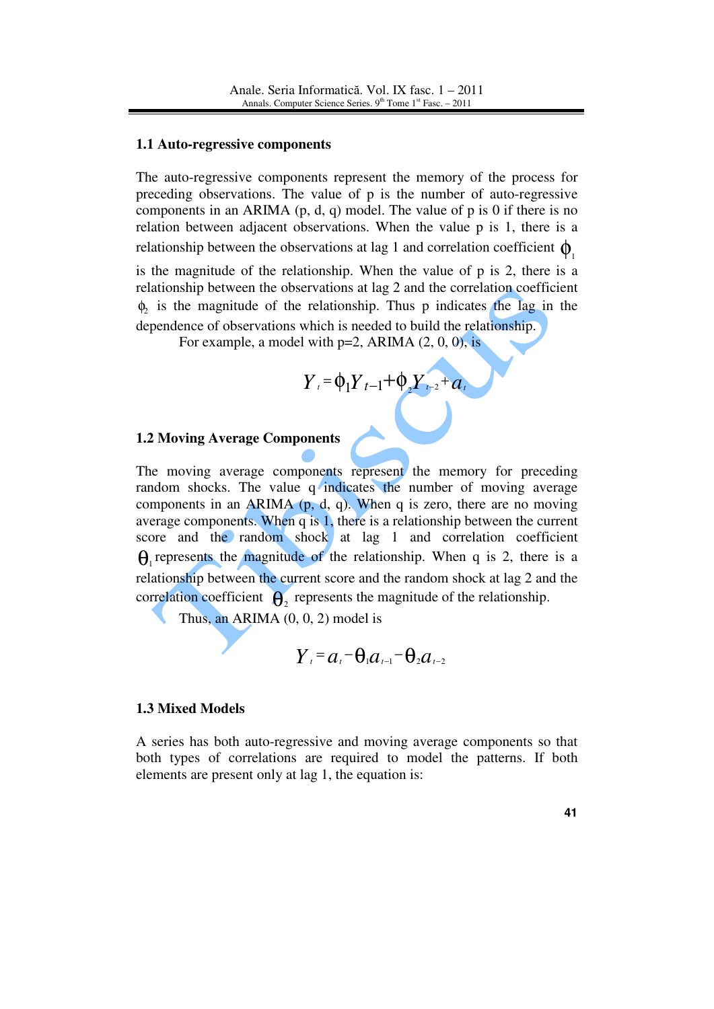#### **1.1 Auto-regressive components**

The auto-regressive components represent the memory of the process for preceding observations. The value of p is the number of auto-regressive components in an ARIMA  $(p, d, q)$  model. The value of p is 0 if there is no relation between adjacent observations. When the value p is 1, there is a relationship between the observations at lag 1 and correlation coefficient  $\phi$ .

is the magnitude of the relationship. When the value of p is 2, there is a relationship between the observations at lag 2 and the correlation coefficient  $\phi_2$  is the magnitude of the relationship. Thus p indicates the lag in the dependence of observations which is needed to build the relationship.

For example, a model with  $p=2$ , ARIMA  $(2, 0, 0)$ , is

$$
Y_{t} = \phi_{1} Y_{t-1} + \phi_{2} Y_{t-2} + a_{t}
$$

### **1.2 Moving Average Components**

The moving average components represent the memory for preceding random shocks. The value q indicates the number of moving average components in an ARIMA  $(p, d, q)$ . When q is zero, there are no moving average components. When q is 1, there is a relationship between the current score and the random shock at lag 1 and correlation coefficient  $\theta_1$  represents the magnitude of the relationship. When q is 2, there is a relationship between the current score and the random shock at lag 2 and the correlation coefficient  $\mathbf{\Theta}_2$  represents the magnitude of the relationship.

Thus, an ARIMA (0, 0, 2) model is

$$
Y_t = a_t - \theta_1 a_{t-1} - \theta_2 a_{t-2}
$$

#### **1.3 Mixed Models**

A series has both auto-regressive and moving average components so that both types of correlations are required to model the patterns. If both elements are present only at lag 1, the equation is: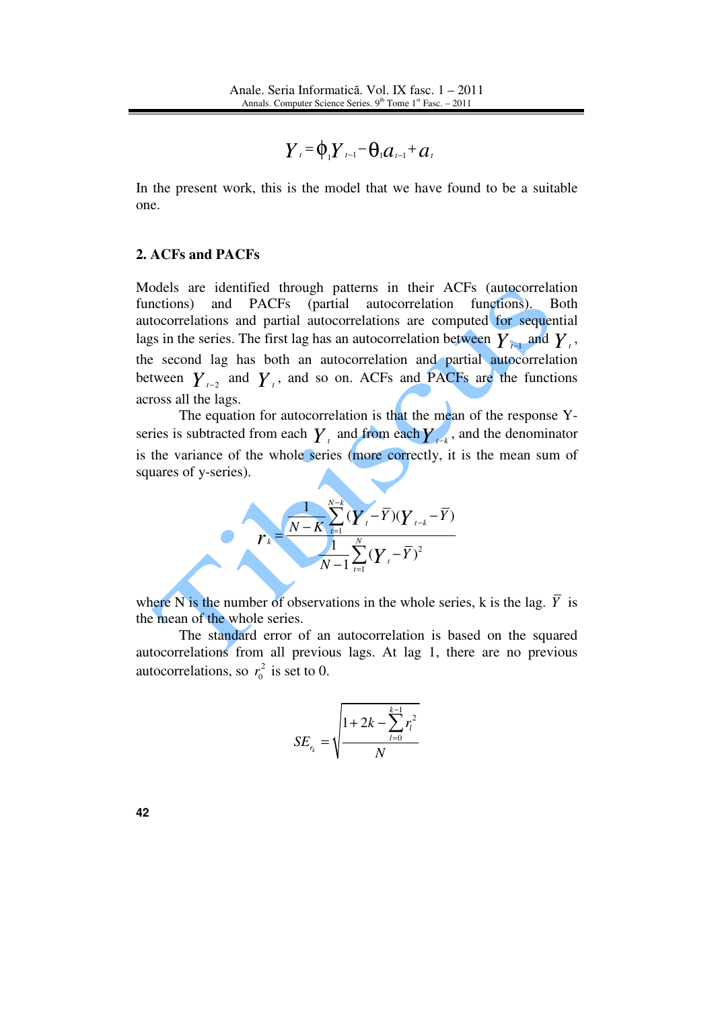$$
Y_{\iota} = \phi_{\iota} Y_{\iota-1} - \theta_{\iota} a_{\iota-1} + a_{\iota}
$$

In the present work, this is the model that we have found to be a suitable one.

## **2. ACFs and PACFs**

Models are identified through patterns in their ACFs (autocorrelation functions) and PACFs (partial autocorrelation functions). Both autocorrelations and partial autocorrelations are computed for sequential lags in the series. The first lag has an autocorrelation between  $Y_{t-1}$  and  $Y_t$ , the second lag has both an autocorrelation and partial autocorrelation between  $Y_{t-2}$  and  $Y_t$ , and so on. ACFs and PACFs are the functions across all the lags.

 The equation for autocorrelation is that the mean of the response Yseries is subtracted from each  $\boldsymbol{Y}_t$  and from each  $\boldsymbol{Y}_{t-k}$ , and the denominator is the variance of the whole series (more correctly, it is the mean sum of squares of y-series).

$$
r_{k} = \frac{\frac{1}{N-K} \sum_{t=1}^{N-k} (Y_{t} - \overline{Y})(Y_{t-k} - \overline{Y})}{\frac{1}{N-1} \sum_{t=1}^{N} (Y_{t} - \overline{Y})^{2}}
$$

where N is the number of observations in the whole series, k is the lag.  $\overline{Y}$  is the mean of the whole series.

 The standard error of an autocorrelation is based on the squared autocorrelations from all previous lags. At lag 1, there are no previous autocorrelations, so  $r_0^2$  is set to 0.

$$
SE_{r_k} = \sqrt{\frac{1 + 2k - \sum_{l=0}^{k-1} r_l^2}{N}}
$$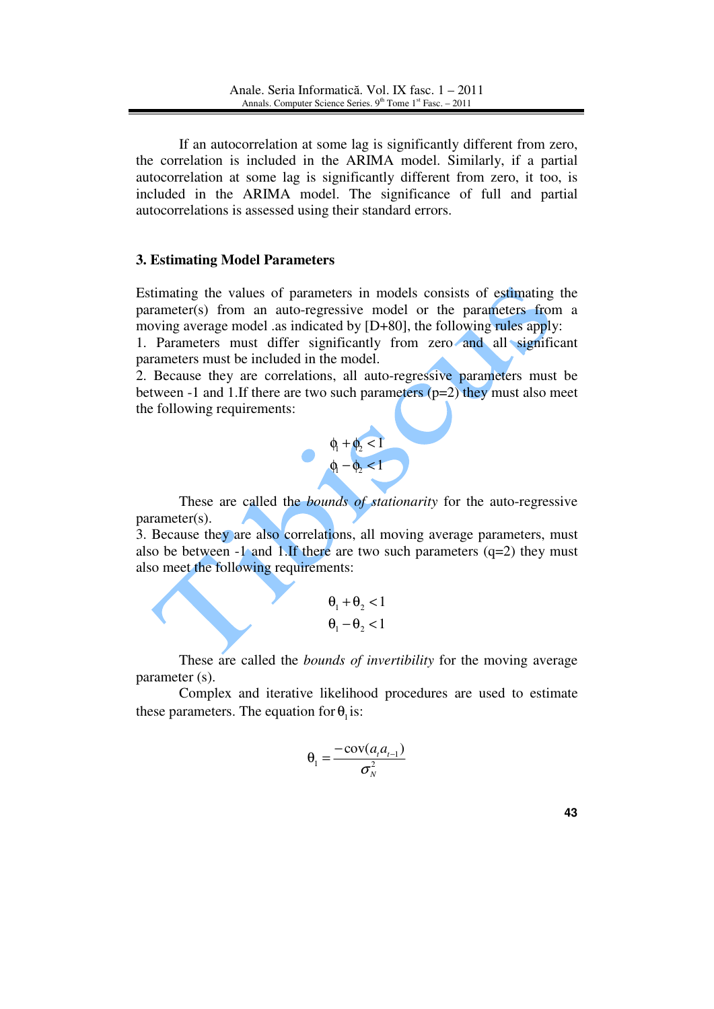If an autocorrelation at some lag is significantly different from zero, the correlation is included in the ARIMA model. Similarly, if a partial autocorrelation at some lag is significantly different from zero, it too, is included in the ARIMA model. The significance of full and partial autocorrelations is assessed using their standard errors.

## **3. Estimating Model Parameters**

Estimating the values of parameters in models consists of estimating the parameter(s) from an auto-regressive model or the parameters from a moving average model .as indicated by [D+80], the following rules apply:

1. Parameters must differ significantly from zero and all significant parameters must be included in the model.

2. Because they are correlations, all auto-regressive parameters must be between -1 and 1.If there are two such parameters  $(p=2)$  they must also meet the following requirements:



These are called the *bounds of stationarity* for the auto-regressive parameter(s).

3. Because they are also correlations, all moving average parameters, must also be between  $-1$  and 1.If there are two such parameters  $(q=2)$  they must also meet the following requirements:

$$
\begin{aligned} \theta_1 + \theta_2 < 1 \\ \theta_1 - \theta_2 < 1 \end{aligned}
$$

These are called the *bounds of invertibility* for the moving average parameter (s).

Complex and iterative likelihood procedures are used to estimate these parameters. The equation for  $\theta_1$  is:

$$
\theta_1 = \frac{-\operatorname{cov}(a_t a_{t-1})}{\sigma_N^2}
$$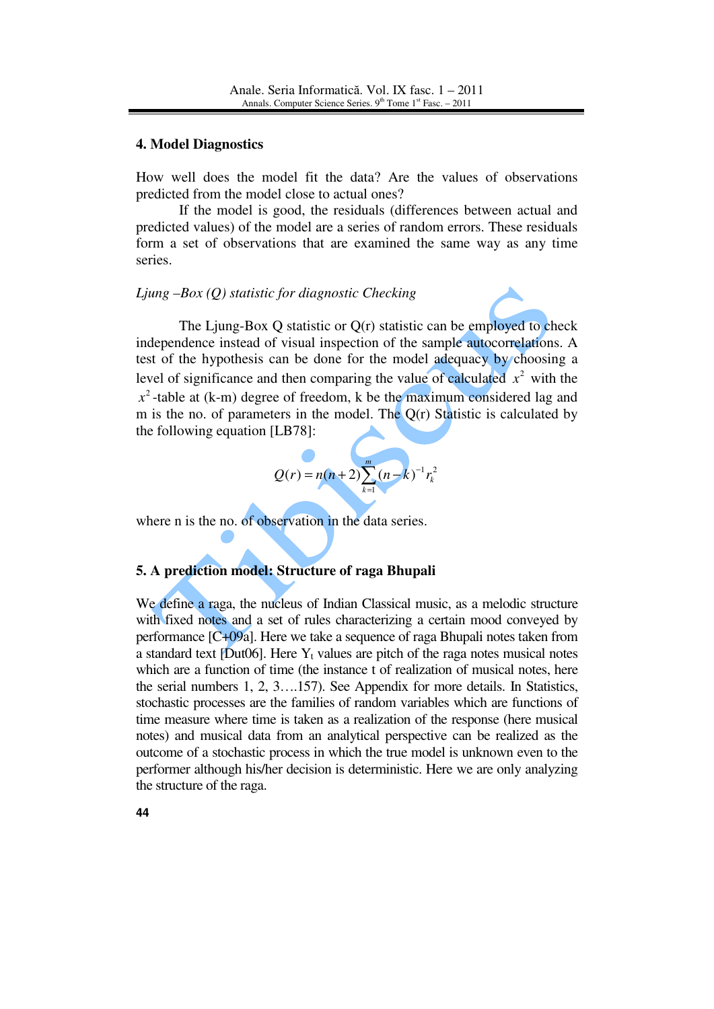#### **4. Model Diagnostics**

How well does the model fit the data? Are the values of observations predicted from the model close to actual ones?

 If the model is good, the residuals (differences between actual and predicted values) of the model are a series of random errors. These residuals form a set of observations that are examined the same way as any time series.

## *Ljung –Box (Q) statistic for diagnostic Checking*

The Ljung-Box Q statistic or Q(r) statistic can be employed to check independence instead of visual inspection of the sample autocorrelations. A test of the hypothesis can be done for the model adequacy by choosing a level of significance and then comparing the value of calculated  $x^2$  with the  $x^2$ -table at (k-m) degree of freedom, k be the maximum considered lag and m is the no. of parameters in the model. The  $O(r)$  Statistic is calculated by the following equation [LB78]:

$$
Q(r) = n(n+2) \sum_{k=1}^{m} (n-k)^{-1} r_k^2
$$

where n is the no. of observation in the data series.

## **5. A prediction model: Structure of raga Bhupali**

We define a raga, the nucleus of Indian Classical music, as a melodic structure with fixed notes and a set of rules characterizing a certain mood conveyed by performance [C+09a]. Here we take a sequence of raga Bhupali notes taken from a standard text [Dut06]. Here  $Y_t$  values are pitch of the raga notes musical notes which are a function of time (the instance t of realization of musical notes, here the serial numbers 1, 2, 3….157). See Appendix for more details. In Statistics, stochastic processes are the families of random variables which are functions of time measure where time is taken as a realization of the response (here musical notes) and musical data from an analytical perspective can be realized as the outcome of a stochastic process in which the true model is unknown even to the performer although his/her decision is deterministic. Here we are only analyzing the structure of the raga.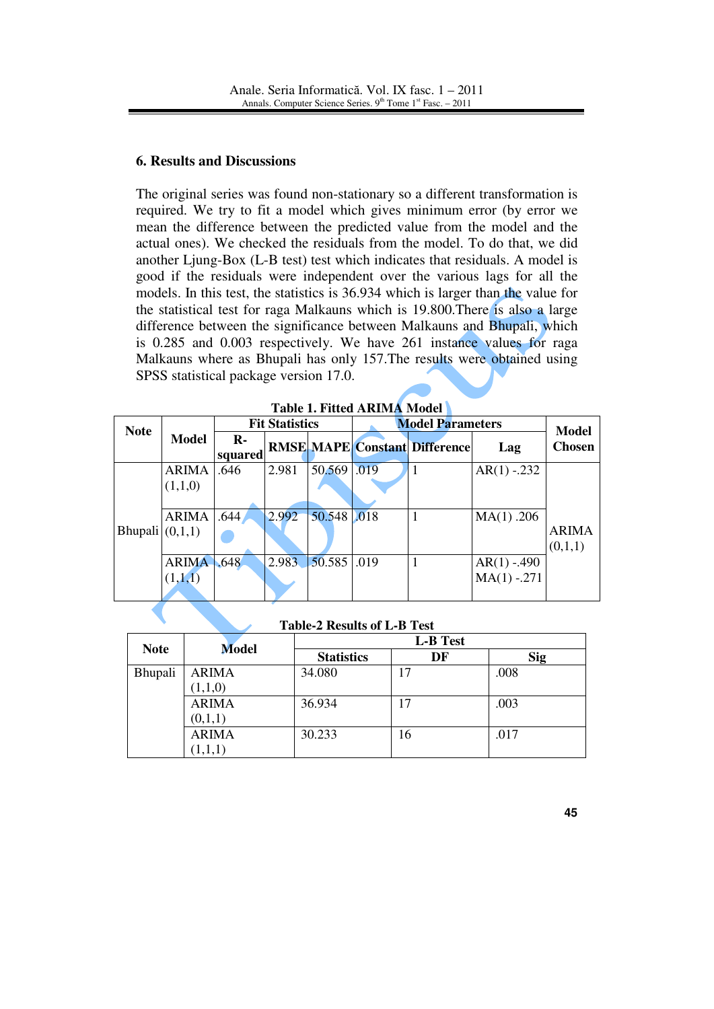## **6. Results and Discussions**

The original series was found non-stationary so a different transformation is required. We try to fit a model which gives minimum error (by error we mean the difference between the predicted value from the model and the actual ones). We checked the residuals from the model. To do that, we did another Ljung-Box (L-B test) test which indicates that residuals. A model is good if the residuals were independent over the various lags for all the models. In this test, the statistics is 36.934 which is larger than the value for the statistical test for raga Malkauns which is 19.800.There is also a large difference between the significance between Malkauns and Bhupali, which is 0.285 and 0.003 respectively. We have 261 instance values for raga Malkauns where as Bhupali has only 157.The results were obtained using SPSS statistical package version 17.0.

| <b>Note</b>       | <b>Model</b> | <b>Fit Statistics</b>   |       |             | <b>Model Parameters</b> |                                      |                | <b>Model</b>  |
|-------------------|--------------|-------------------------|-------|-------------|-------------------------|--------------------------------------|----------------|---------------|
|                   |              | $\mathbf{R}$<br>squared |       |             |                         | <b>RMSE MAPE Constant Difference</b> | Lag            | <b>Chosen</b> |
| Bhupali $(0,1,1)$ | <b>ARIMA</b> | .646                    | 2.981 | 50.569      | .019                    |                                      | $AR(1) - 232$  |               |
|                   | (1,1,0)      |                         |       |             |                         |                                      |                |               |
|                   |              |                         |       |             |                         |                                      |                |               |
|                   | <b>ARIMA</b> | .644                    | 2.992 | 50.548 .018 |                         |                                      | MA(1) .206     |               |
|                   |              |                         |       |             |                         |                                      |                | <b>ARIMA</b>  |
|                   |              |                         |       |             |                         |                                      |                | (0,1,1)       |
|                   | <b>ARIMA</b> | .648                    | 2.983 | 50.585 .019 |                         |                                      | $AR(1) - .490$ |               |
|                   | (1,1,1)      |                         |       |             |                         |                                      | $MA(1) - 271$  |               |
|                   |              |                         |       |             |                         |                                      |                |               |

**Table 1. Fitted ARIMA Model** 

**Table-2 Results of L-B Test** 

| <b>Note</b> | <b>Model</b> | <b>L-B</b> Test   |    |            |  |  |
|-------------|--------------|-------------------|----|------------|--|--|
|             |              | <b>Statistics</b> | DF | <b>Sig</b> |  |  |
| Bhupali     | <b>ARIMA</b> | 34.080            | 17 | .008       |  |  |
|             | (1,1,0)      |                   |    |            |  |  |
|             | <b>ARIMA</b> | 36.934            | 17 | .003       |  |  |
|             | (0,1,1)      |                   |    |            |  |  |
|             | <b>ARIMA</b> | 30.233            | 16 | .017       |  |  |
|             | (1,1,1)      |                   |    |            |  |  |

**45**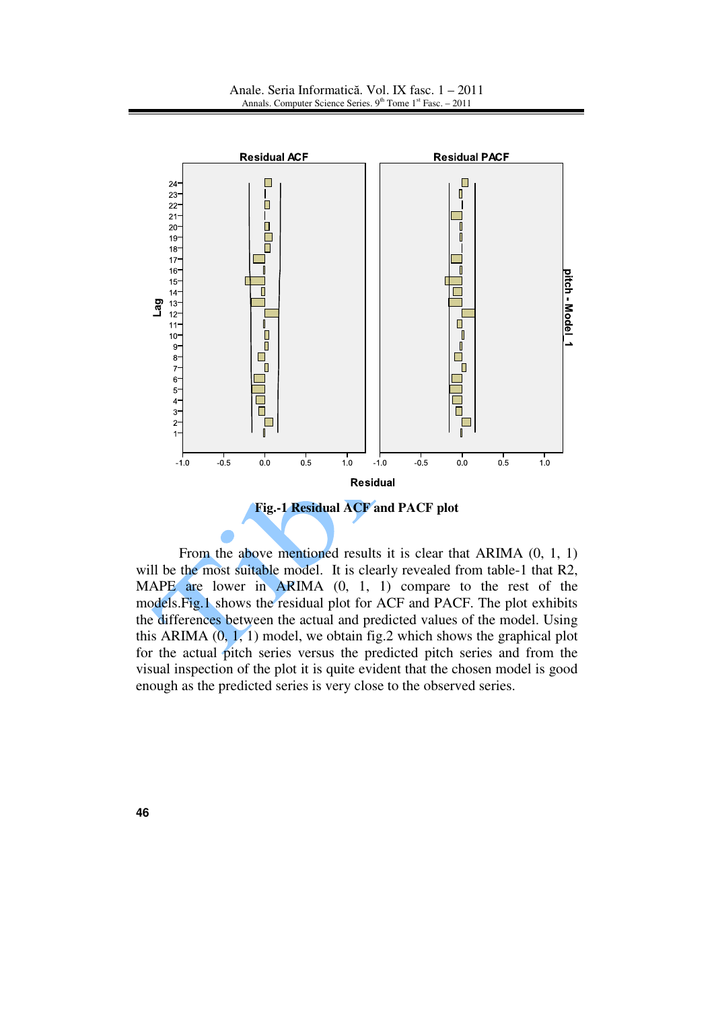

 From the above mentioned results it is clear that ARIMA (0, 1, 1) will be the most suitable model. It is clearly revealed from table-1 that R2, MAPE are lower in ARIMA (0, 1, 1) compare to the rest of the models.Fig.1 shows the residual plot for ACF and PACF. The plot exhibits the differences between the actual and predicted values of the model. Using this ARIMA  $(0, 1, 1)$  model, we obtain fig. 2 which shows the graphical plot for the actual pitch series versus the predicted pitch series and from the visual inspection of the plot it is quite evident that the chosen model is good enough as the predicted series is very close to the observed series.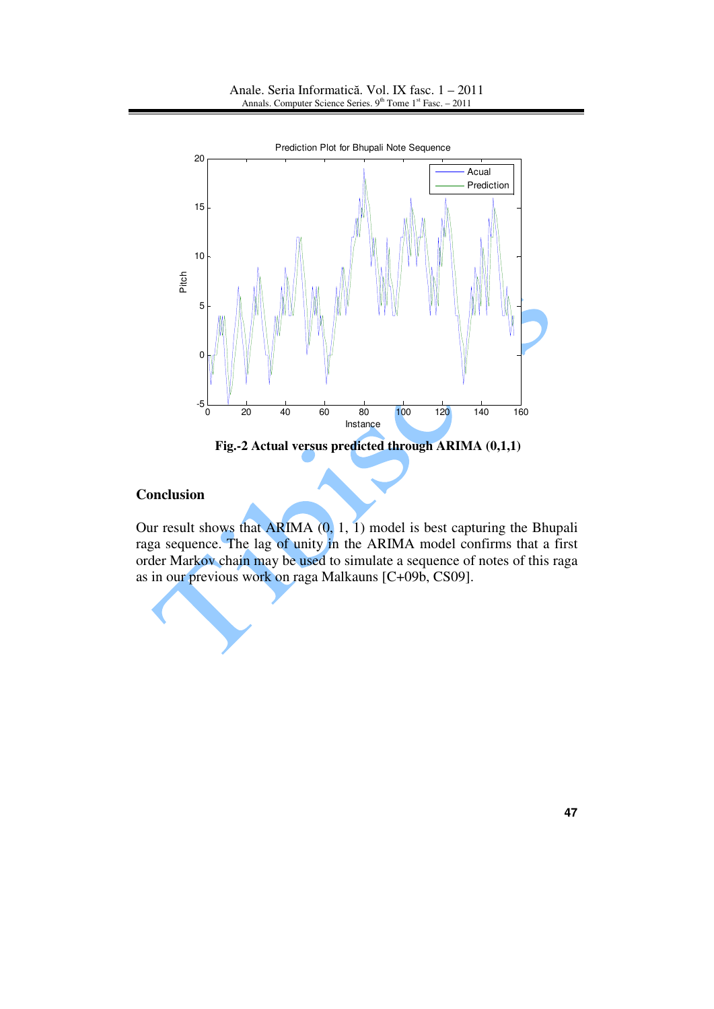

**Fig.-2 Actual versus predicted through ARIMA (0,1,1)**

## **Conclusion**

Our result shows that ARIMA (0, 1, 1) model is best capturing the Bhupali raga sequence. The lag of unity in the ARIMA model confirms that a first order Markov chain may be used to simulate a sequence of notes of this raga as in our previous work on raga Malkauns [C+09b, CS09].

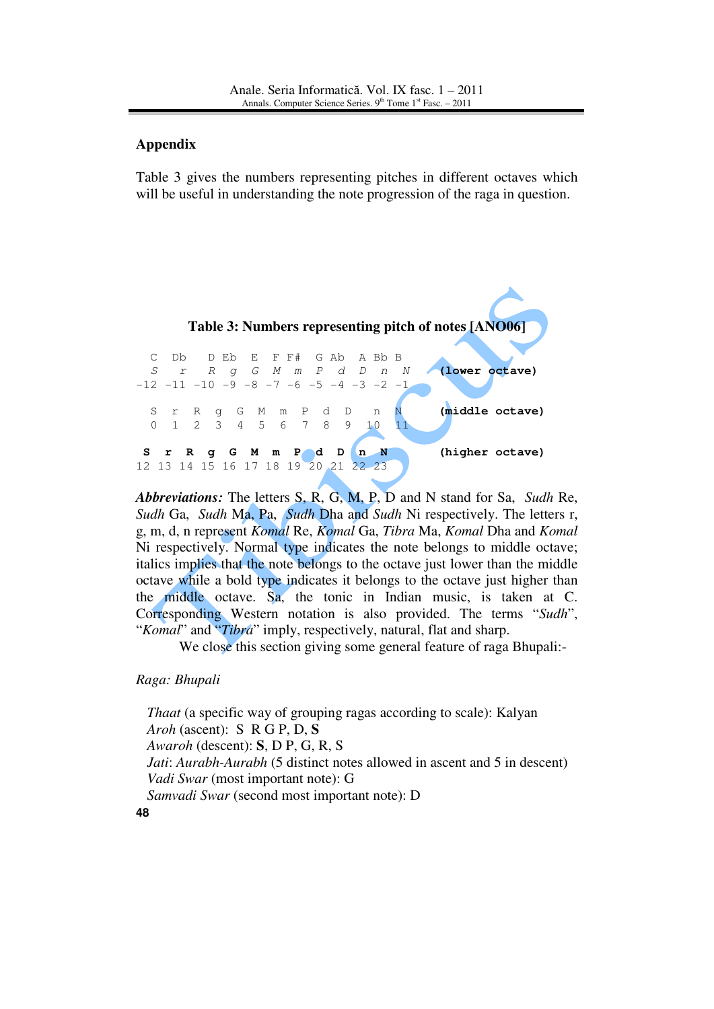## **Appendix**

Table 3 gives the numbers representing pitches in different octaves which will be useful in understanding the note progression of the raga in question.



*Abbreviations:* The letters S, R, G, M, P, D and N stand for Sa, *Sudh* Re, *Sudh* Ga, *Sudh* Ma, Pa, *Sudh* Dha and *Sudh* Ni respectively. The letters r, g, m, d, n represent *Komal* Re, *Komal* Ga, *Tibra* Ma, *Komal* Dha and *Komal* Ni respectively. Normal type indicates the note belongs to middle octave; italics implies that the note belongs to the octave just lower than the middle octave while a bold type indicates it belongs to the octave just higher than the middle octave. Sa, the tonic in Indian music, is taken at C. Corresponding Western notation is also provided. The terms "*Sudh*", "*Komal*" and "*Tibra*" imply, respectively, natural, flat and sharp.

We close this section giving some general feature of raga Bhupali:-

*Raga: Bhupali* 

**48** *Thaat* (a specific way of grouping ragas according to scale): Kalyan *Aroh* (ascent): S R G P, D, **S**  *Awaroh* (descent): **S**, D P, G, R, S *Jati*: *Aurabh-Aurabh* (5 distinct notes allowed in ascent and 5 in descent) *Vadi Swar* (most important note): G *Samvadi Swar* (second most important note): D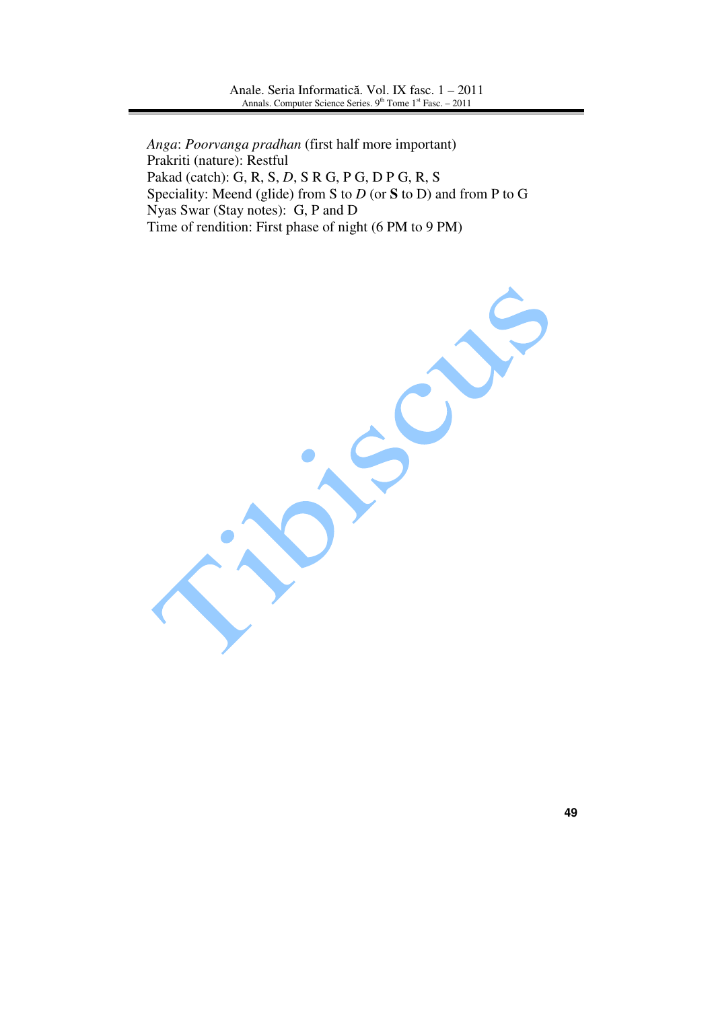*Anga*: *Poorvanga pradhan* (first half more important) Prakriti (nature): Restful Pakad (catch): G, R, S, *D*, S R G, P G, D P G, R, S Speciality: Meend (glide) from S to *D* (or **S** to D) and from P to G Nyas Swar (Stay notes): G, P and D Time of rendition: First phase of night (6 PM to 9 PM)

**49**